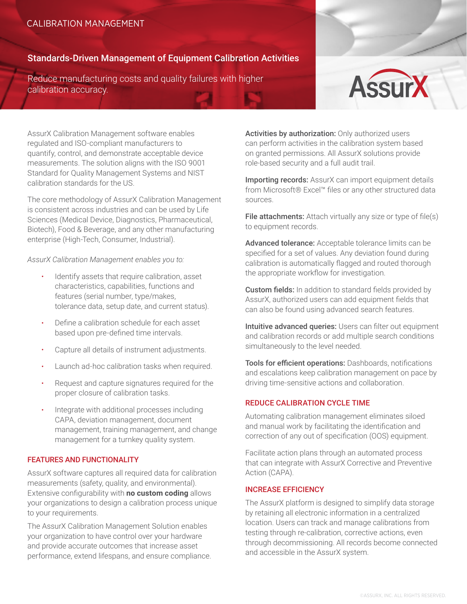# CALIBRATION MANAGEMENT

## Standards-Driven Management of Equipment Calibration Activities

Reduce manufacturing costs and quality failures with higher calibration accuracy.



AssurX Calibration Management software enables regulated and ISO-compliant manufacturers to quantify, control, and demonstrate acceptable device measurements. The solution aligns with the ISO 9001 Standard for Quality Management Systems and NIST calibration standards for the US.

The core methodology of AssurX Calibration Management is consistent across industries and can be used by Life Sciences (Medical Device, Diagnostics, Pharmaceutical, Biotech), Food & Beverage, and any other manufacturing enterprise (High-Tech, Consumer, Industrial).

*AssurX Calibration Management enables you to:* 

- Identify assets that require calibration, asset characteristics, capabilities, functions and features (serial number, type/makes, tolerance data, setup date, and current status).
- xDefine a calibration schedule for each asset based upon pre-defined time intervals.
- Capture all details of instrument adjustments.
- Launch ad-hoc calibration tasks when required.
- Request and capture signatures required for the proper closure of calibration tasks.
- Integrate with additional processes including CAPA, deviation management, document management, training management, and change management for a turnkey quality system.

## FEATURES AND FUNCTIONALITY

AssurX software captures all required data for calibration measurements (safety, quality, and environmental). Extensive configurability with **no custom coding** allows your organizations to design a calibration process unique to your requirements.

The AssurX Calibration Management Solution enables your organization to have control over your hardware and provide accurate outcomes that increase asset performance, extend lifespans, and ensure compliance. Activities by authorization: Only authorized users can perform activities in the calibration system based on granted permissions. All AssurX solutions provide role-based security and a full audit trail.

Importing records: AssurX can import equipment details from Microsoft® Excel™ files or any other structured data sources.

File attachments: Attach virtually any size or type of file(s) to equipment records.

Advanced tolerance: Acceptable tolerance limits can be specified for a set of values. Any deviation found during calibration is automatically flagged and routed thorough the appropriate workflow for investigation.

**Custom fields:** In addition to standard fields provided by AssurX, authorized users can add equipment fields that can also be found using advanced search features.

Intuitive advanced queries: Users can filter out equipment and calibration records or add multiple search conditions simultaneously to the level needed.

Tools for efficient operations: Dashboards, notifications and escalations keep calibration management on pace by driving time-sensitive actions and collaboration.

## REDUCE CALIBRATION CYCLE TIME

Automating calibration management eliminates siloed and manual work by facilitating the identification and correction of any out of specification (OOS) equipment.

Facilitate action plans through an automated process that can integrate with AssurX Corrective and Preventive Action (CAPA).

#### INCREASE EFFICIENCY

The AssurX platform is designed to simplify data storage by retaining all electronic information in a centralized location. Users can track and manage calibrations from testing through re-calibration, corrective actions, even through decommissioning. All records become connected and accessible in the AssurX system.